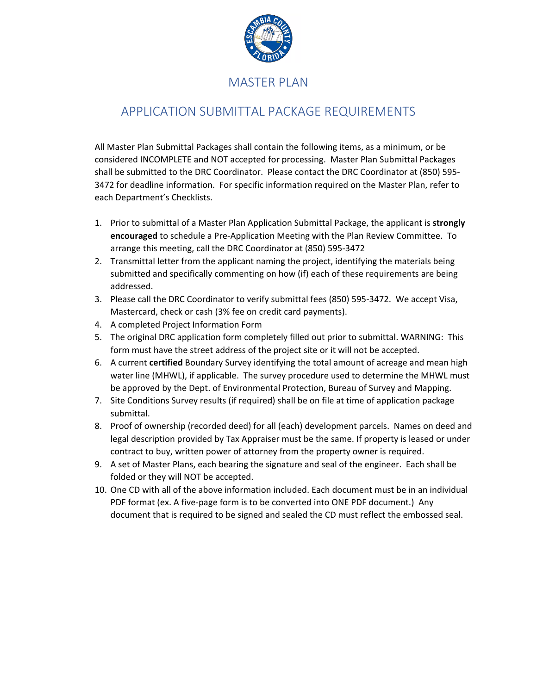

## MASTER PLAN

## APPLICATION SUBMITTAL PACKAGE REQUIREMENTS

All Master Plan Submittal Packages shall contain the following items, as a minimum, or be considered INCOMPLETE and NOT accepted for processing. Master Plan Submittal Packages shall be submitted to the DRC Coordinator. Please contact the DRC Coordinator at (850) 595- 3472 for deadline information. For specific information required on the Master Plan, refer to each Department's Checklists.

- 1. Prior to submittal of a Master Plan Application Submittal Package, the applicant is **strongly encouraged** to schedule a Pre-Application Meeting with the Plan Review Committee. To arrange this meeting, call the DRC Coordinator at (850) 595-3472
- 2. Transmittal letter from the applicant naming the project, identifying the materials being submitted and specifically commenting on how (if) each of these requirements are being addressed.
- 3. Please call the DRC Coordinator to verify submittal fees (850) 595-3472. We accept Visa, Mastercard, check or cash (3% fee on credit card payments).
- 4. A completed Project Information Form
- 5. The original DRC application form completely filled out prior to submittal. WARNING: This form must have the street address of the project site or it will not be accepted.
- 6. A current **certified** Boundary Survey identifying the total amount of acreage and mean high water line (MHWL), if applicable. The survey procedure used to determine the MHWL must be approved by the Dept. of Environmental Protection, Bureau of Survey and Mapping.
- 7. Site Conditions Survey results (if required) shall be on file at time of application package submittal.
- 8. Proof of ownership (recorded deed) for all (each) development parcels. Names on deed and legal description provided by Tax Appraiser must be the same. If property is leased or under contract to buy, written power of attorney from the property owner is required.
- 9. A set of Master Plans, each bearing the signature and seal of the engineer. Each shall be folded or they will NOT be accepted.
- 10. One CD with all of the above information included. Each document must be in an individual PDF format (ex. A five-page form is to be converted into ONE PDF document.) Any document that is required to be signed and sealed the CD must reflect the embossed seal.